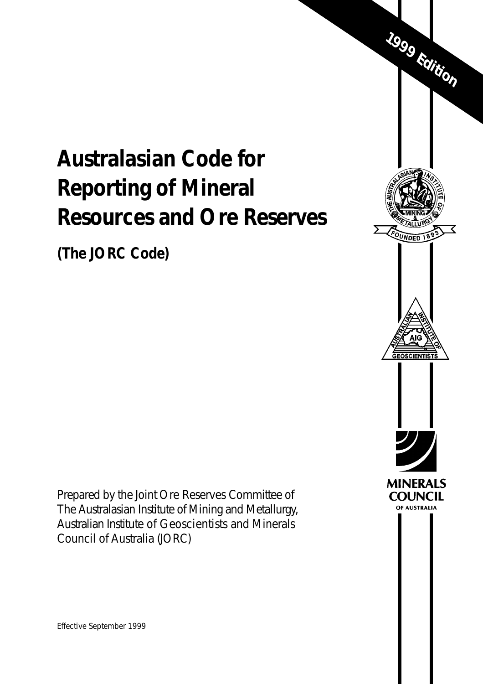# **Australasian Code for Reporting of Mineral Resources and Ore Reserves**

**(The JORC Code)**

Prepared by the Joint Ore Reserves Committee of The Australasian Institute of Mining and Metallurgy, Australian Institute of Geoscientists and Minerals Council of Australia (JORC)



Effective September 1999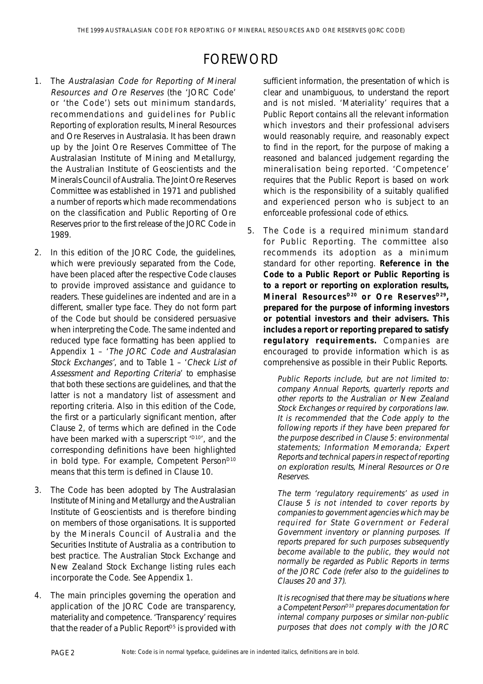### FOREWORD

- 1. The Australasian Code for Reporting of Mineral Resources and Ore Reserves (the 'JORC Code' or 'the Code') sets out minimum standards, recommendations and guidelines for Public Reporting of exploration results, Mineral Resources and Ore Reserves in Australasia. It has been drawn up by the Joint Ore Reserves Committee of The Australasian Institute of Mining and Metallurgy, the Australian Institute of Geoscientists and the Minerals Council of Australia. The Joint Ore Reserves Committee was established in 1971 and published a number of reports which made recommendations on the classification and Public Reporting of Ore Reserves prior to the first release of the JORC Code in 1989.
- 2. In this edition of the JORC Code, the guidelines, which were previously separated from the Code, have been placed after the respective Code clauses to provide improved assistance and guidance to readers. These guidelines are indented and are in a different, smaller type face. They do not form part of the Code but should be considered persuasive when interpreting the Code. The same indented and reduced type face formatting has been applied to Appendix 1 – 'The JORC Code and Australasian Stock Exchanges', and to Table 1 – 'Check List of Assessment and Reporting Criteria' to emphasise that both these sections are guidelines, and that the latter is not a mandatory list of assessment and reporting criteria. Also in this edition of the Code, the first or a particularly significant mention, after Clause 2, of terms which are defined in the Code have been marked with a superscript 'D10', and the corresponding definitions have been highlighted in bold type. For example, Competent Person<sup>p10</sup> means that this term is defined in Clause 10.
- 3. The Code has been adopted by The Australasian Institute of Mining and Metallurgy and the Australian Institute of Geoscientists and is therefore binding on members of those organisations. It is supported by the Minerals Council of Australia and the Securities Institute of Australia as a contribution to best practice. The Australian Stock Exchange and New Zealand Stock Exchange listing rules each incorporate the Code. See Appendix 1.
- 4. The main principles governing the operation and application of the JORC Code are transparency, materiality and competence. 'Transparency' requires that the reader of a Public Report<sup> $DS$ </sup> is provided with

sufficient information, the presentation of which is clear and unambiguous, to understand the report and is not misled. 'Materiality' requires that a Public Report contains all the relevant information which investors and their professional advisers would reasonably require, and reasonably expect to find in the report, for the purpose of making a reasoned and balanced judgement regarding the mineralisation being reported. 'Competence' requires that the Public Report is based on work which is the responsibility of a suitably qualified and experienced person who is subject to an enforceable professional code of ethics.

5. The Code is a required minimum standard for Public Reporting. The committee also recommends its adoption as a minimum standard for other reporting. **Reference in the Code to a Public Report or Public Reporting is to a report or reporting on exploration results, Mineral Resources**<sup>D20</sup> or Ore Reserves<sup>D29</sup>, **prepared for the purpose of informing investors or potential investors and their advisers. This includes a report or reporting prepared to satisfy regulatory requirements.** Companies are encouraged to provide information which is as comprehensive as possible in their Public Reports.

> Public Reports include, but are not limited to: company Annual Reports, quarterly reports and other reports to the Australian or New Zealand Stock Exchanges or required by corporations law. It is recommended that the Code apply to the following reports if they have been prepared for the purpose described in Clause 5: environmental statements; Information Memoranda; Expert Reports and technical papers in respect of reporting on exploration results, Mineral Resources or Ore Reserves.

> The term 'regulatory requirements' as used in Clause 5 is not intended to cover reports by companies to government agencies which may be required for State Government or Federal Government inventory or planning purposes. If reports prepared for such purposes subsequently become available to the public, they would not normally be regarded as Public Reports in terms of the JORC Code (refer also to the guidelines to Clauses 20 and 37).

> It is recognised that there may be situations where a Competent Person<sup>p10</sup> prepares documentation for internal company purposes or similar non-public purposes that does not comply with the JORC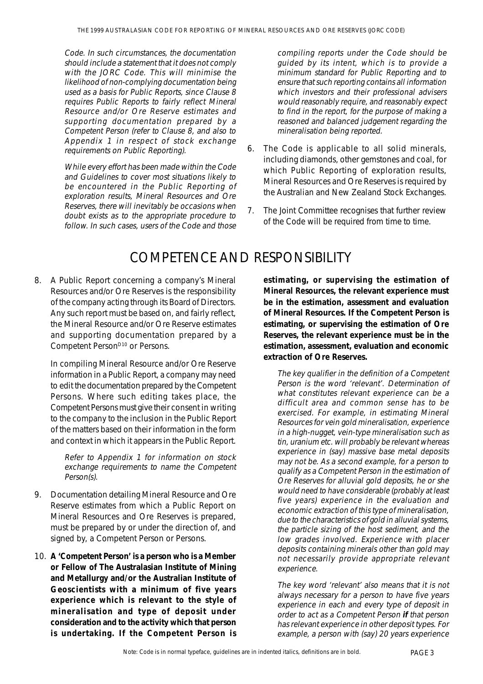Code. In such circumstances, the documentation should include a statement that it does not comply with the JORC Code. This will minimise the likelihood of non-complying documentation being used as a basis for Public Reports, since Clause 8 requires Public Reports to fairly reflect Mineral Resource and/or Ore Reserve estimates and supporting documentation prepared by a Competent Person (refer to Clause 8, and also to Appendix 1 in respect of stock exchange requirements on Public Reporting).

While every effort has been made within the Code and Guidelines to cover most situations likely to be encountered in the Public Reporting of exploration results, Mineral Resources and Ore Reserves, there will inevitably be occasions when doubt exists as to the appropriate procedure to follow. In such cases, users of the Code and those compiling reports under the Code should be guided by its intent, which is to provide a minimum standard for Public Reporting and to ensure that such reporting contains all information which investors and their professional advisers would reasonably require, and reasonably expect to find in the report, for the purpose of making a reasoned and balanced judgement regarding the mineralisation being reported.

- 6. The Code is applicable to all solid minerals, including diamonds, other gemstones and coal, for which Public Reporting of exploration results, Mineral Resources and Ore Reserves is required by the Australian and New Zealand Stock Exchanges.
- 7. The Joint Committee recognises that further review of the Code will be required from time to time.

# COMPETENCE AND RESPONSIBILITY

8. A Public Report concerning a company's Mineral Resources and/or Ore Reserves is the responsibility of the company acting through its Board of Directors. Any such report must be based on, and fairly reflect, the Mineral Resource and/or Ore Reserve estimates and supporting documentation prepared by a Competent Person<sup>D10</sup> or Persons.

In compiling Mineral Resource and/or Ore Reserve information in a Public Report, a company may need to edit the documentation prepared by the Competent Persons. Where such editing takes place, the Competent Persons must give their consent in writing to the company to the inclusion in the Public Report of the matters based on their information in the form and context in which it appears in the Public Report.

Refer to Appendix 1 for information on stock exchange requirements to name the Competent Person(s).

- 9. Documentation detailing Mineral Resource and Ore Reserve estimates from which a Public Report on Mineral Resources and Ore Reserves is prepared, must be prepared by or under the direction of, and signed by, a Competent Person or Persons.
- 10. **A 'Competent Person' is a person who is a Member or Fellow of The Australasian Institute of Mining and Metallurgy and/or the Australian Institute of Geoscientists with a minimum of five years experience which is relevant to the style of mineralisation and type of deposit under consideration and to the activity which that person is undertaking. If the Competent Person is**

**estimating, or supervising the estimation of Mineral Resources, the relevant experience must be in the estimation, assessment and evaluation of Mineral Resources. If the Competent Person is estimating, or supervising the estimation of Ore Reserves, the relevant experience must be in the estimation, assessment, evaluation and economic extraction of Ore Reserves.**

The key qualifier in the definition of a Competent Person is the word 'relevant'. Determination of what constitutes relevant experience can be a difficult area and common sense has to be exercised. For example, in estimating Mineral Resources for vein gold mineralisation, experience in a high-nugget, vein-type mineralisation such as tin, uranium etc. will probably be relevant whereas experience in (say) massive base metal deposits may not be. As a second example, for a person to qualify as a Competent Person in the estimation of Ore Reserves for alluvial gold deposits, he or she would need to have considerable (probably at least five years) experience in the evaluation and economic extraction of this type of mineralisation, due to the characteristics of gold in alluvial systems, the particle sizing of the host sediment, and the low grades involved. Experience with placer deposits containing minerals other than gold may not necessarily provide appropriate relevant experience.

The key word 'relevant' also means that it is not always necessary for a person to have five years experience in each and every type of deposit in order to act as a Competent Person **if** that person has relevant experience in other deposit types. For example, a person with (say) 20 years experience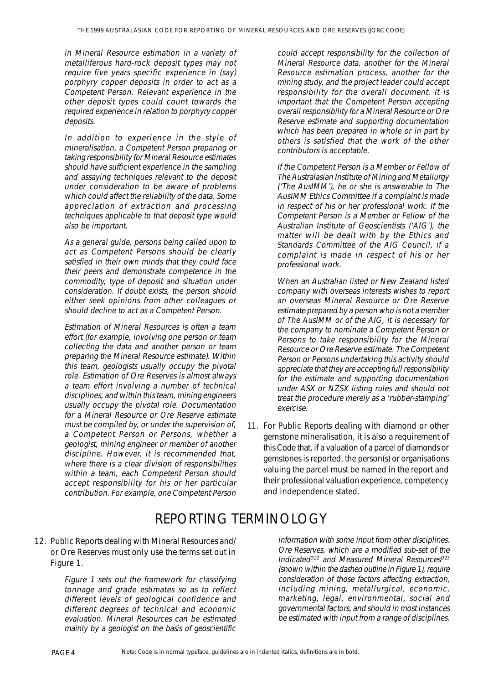in Mineral Resource estimation in a variety of metalliferous hard-rock deposit types may not require five years specific experience in (say) porphyry copper deposits in order to act as a Competent Person. Relevant experience in the other deposit types could count towards the required experience in relation to porphyry copper deposits.

In addition to experience in the style of mineralisation, a Competent Person preparing or taking responsibility for Mineral Resource estimates should have sufficient experience in the sampling and assaying techniques relevant to the deposit under consideration to be aware of problems which could affect the reliability of the data. Some appreciation of extraction and processing techniques applicable to that deposit type would also be important.

As a general guide, persons being called upon to act as Competent Persons should be clearly satisfied in their own minds that they could face their peers and demonstrate competence in the commodity, type of deposit and situation under consideration. If doubt exists, the person should either seek opinions from other colleagues or should decline to act as a Competent Person.

Estimation of Mineral Resources is often a team effort (for example, involving one person or team collecting the data and another person or team preparing the Mineral Resource estimate). Within this team, geologists usually occupy the pivotal role. Estimation of Ore Reserves is almost always a team effort involving a number of technical disciplines, and within this team, mining engineers usually occupy the pivotal role. Documentation for a Mineral Resource or Ore Reserve estimate must be compiled by, or under the supervision of, a Competent Person or Persons, whether a geologist, mining engineer or member of another discipline. However, it is recommended that, where there is a clear division of responsibilities within a team, each Competent Person should accept responsibility for his or her particular contribution. For example, one Competent Person

#### 12. Public Reports dealing with Mineral Resources and/ or Ore Reserves must only use the terms set out in Figure 1.

Figure 1 sets out the framework for classifying tonnage and grade estimates so as to reflect different levels of geological confidence and different degrees of technical and economic evaluation. Mineral Resources can be estimated mainly by a geologist on the basis of geoscientific

could accept responsibility for the collection of Mineral Resource data, another for the Mineral Resource estimation process, another for the mining study, and the project leader could accept responsibility for the overall document. It is important that the Competent Person accepting overall responsibility for a Mineral Resource or Ore Reserve estimate and supporting documentation which has been prepared in whole or in part by others is satisfied that the work of the other contributors is acceptable.

If the Competent Person is a Member or Fellow of The Australasian Institute of Mining and Metallurgy ('The AusIMM'), he or she is answerable to The AusIMM Ethics Committee if a complaint is made in respect of his or her professional work. If the Competent Person is a Member or Fellow of the Australian Institute of Geoscientists ('AIG'), the matter will be dealt with by the Ethics and Standards Committee of the AIG Council, if a complaint is made in respect of his or her professional work.

When an Australian listed or New Zealand listed company with overseas interests wishes to report an overseas Mineral Resource or Ore Reserve estimate prepared by a person who is not a member of The AusIMM or of the AIG, it is necessary for the company to nominate a Competent Person or Persons to take responsibility for the Mineral Resource or Ore Reserve estimate. The Competent Person or Persons undertaking this activity should appreciate that they are accepting full responsibility for the estimate and supporting documentation under ASX or NZSX listing rules and should not treat the procedure merely as a 'rubber-stamping' exercise.

11. For Public Reports dealing with diamond or other gemstone mineralisation, it is also a requirement of this Code that, if a valuation of a parcel of diamonds or gemstones is reported, the person(s) or organisations valuing the parcel must be named in the report and their professional valuation experience, competency and independence stated.

> information with some input from other disciplines. Ore Reserves, which are a modified sub-set of the Indicated<sup>D22</sup> and Measured Mineral Resources<sup>D23</sup> (shown within the dashed outline in Figure 1), require consideration of those factors affecting extraction, including mining, metallurgical, economic, marketing, legal, environmental, social and governmental factors, and should in most instances be estimated with input from a range of disciplines.

REPORTING TERMINOLOGY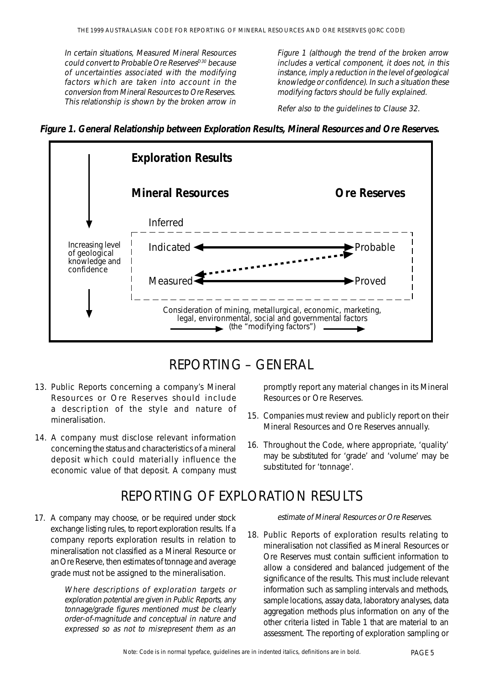In certain situations, Measured Mineral Resources could convert to Probable Ore Reserves<sup>D30</sup> because of uncertainties associated with the modifying factors which are taken into account in the conversion from Mineral Resources to Ore Reserves. This relationship is shown by the broken arrow in Figure 1 (although the trend of the broken arrow includes a vertical component, it does not, in this instance, imply a reduction in the level of geological knowledge or confidence). In such a situation these modifying factors should be fully explained.

Refer also to the guidelines to Clause 32.

**Figure 1. General Relationship between Exploration Results, Mineral Resources and Ore Reserves.**



REPORTING – GENERAL

- 13. Public Reports concerning a company's Mineral Resources or Ore Reserves should include a description of the style and nature of mineralisation.
- 14. A company must disclose relevant information concerning the status and characteristics of a mineral deposit which could materially influence the economic value of that deposit. A company must

promptly report any material changes in its Mineral Resources or Ore Reserves.

- 15. Companies must review and publicly report on their Mineral Resources and Ore Reserves annually.
- 16. Throughout the Code, where appropriate, 'quality' may be substituted for 'grade' and 'volume' may be substituted for 'tonnage'.

### REPORTING OF EXPLORATION RESULTS

17. A company may choose, or be required under stock exchange listing rules, to report exploration results. If a company reports exploration results in relation to mineralisation not classified as a Mineral Resource or an Ore Reserve, then estimates of tonnage and average grade must not be assigned to the mineralisation.

> Where descriptions of exploration targets or exploration potential are given in Public Reports, any tonnage/grade figures mentioned must be clearly order-of-magnitude and conceptual in nature and expressed so as not to misrepresent them as an

estimate of Mineral Resources or Ore Reserves.

18. Public Reports of exploration results relating to mineralisation not classified as Mineral Resources or Ore Reserves must contain sufficient information to allow a considered and balanced judgement of the significance of the results. This must include relevant information such as sampling intervals and methods, sample locations, assay data, laboratory analyses, data aggregation methods plus information on any of the other criteria listed in Table 1 that are material to an assessment. The reporting of exploration sampling or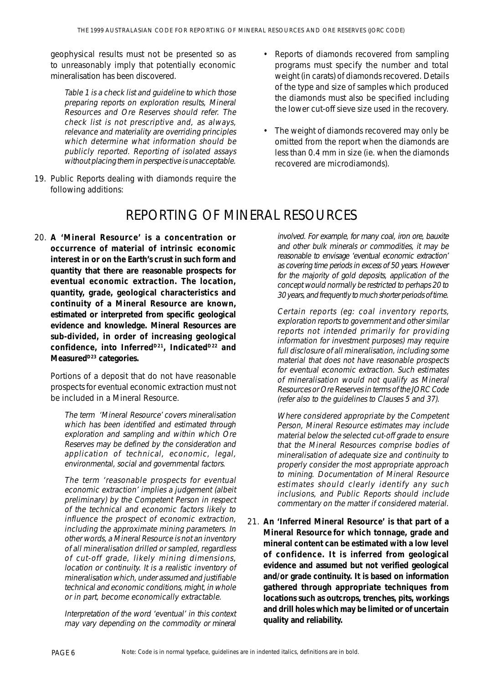geophysical results must not be presented so as to unreasonably imply that potentially economic mineralisation has been discovered.

Table 1 is a check list and guideline to which those preparing reports on exploration results, Mineral Resources and Ore Reserves should refer. The check list is not prescriptive and, as always, relevance and materiality are overriding principles which determine what information should be publicly reported. Reporting of isolated assays without placing them in perspective is unacceptable.

- 19. Public Reports dealing with diamonds require the following additions:
- Reports of diamonds recovered from sampling programs must specify the number and total weight (in carats) of diamonds recovered. Details of the type and size of samples which produced the diamonds must also be specified including the lower cut-off sieve size used in the recovery.
- The weight of diamonds recovered may only be omitted from the report when the diamonds are less than 0.4 mm in size (ie. when the diamonds recovered are microdiamonds).

# REPORTING OF MINERAL RESOURCES

20. **A 'Mineral Resource' is a concentration or occurrence of material of intrinsic economic interest in or on the Earth's crust in such form and quantity that there are reasonable prospects for eventual economic extraction. The location, quantity, grade, geological characteristics and continuity of a Mineral Resource are known, estimated or interpreted from specific geological evidence and knowledge. Mineral Resources are sub-divided, in order of increasing geological** confidence, into Inferred<sup>D21</sup>, Indicated<sup>D22</sup> and Measured<sup>D23</sup> categories.

Portions of a deposit that do not have reasonable prospects for eventual economic extraction must not be included in a Mineral Resource.

The term 'Mineral Resource' covers mineralisation which has been identified and estimated through exploration and sampling and within which Ore Reserves may be defined by the consideration and application of technical, economic, legal, environmental, social and governmental factors.

The term 'reasonable prospects for eventual economic extraction' implies a judgement (albeit preliminary) by the Competent Person in respect of the technical and economic factors likely to influence the prospect of economic extraction, including the approximate mining parameters. In other words, a Mineral Resource is not an inventory of all mineralisation drilled or sampled, regardless of cut-off grade, likely mining dimensions, location or continuity. It is a realistic inventory of mineralisation which, under assumed and justifiable technical and economic conditions, might, in whole or in part, become economically extractable.

Interpretation of the word 'eventual' in this context may vary depending on the commodity or mineral involved. For example, for many coal, iron ore, bauxite and other bulk minerals or commodities, it may be reasonable to envisage 'eventual economic extraction' as covering time periods in excess of 50 years. However for the majority of gold deposits, application of the concept would normally be restricted to perhaps 20 to 30 years, and frequently to much shorter periods of time.

Certain reports (eg: coal inventory reports, exploration reports to government and other similar reports not intended primarily for providing information for investment purposes) may require full disclosure of all mineralisation, including some material that does not have reasonable prospects for eventual economic extraction. Such estimates of mineralisation would not qualify as Mineral Resources or Ore Reserves in terms of the JORC Code (refer also to the guidelines to Clauses 5 and 37).

Where considered appropriate by the Competent Person, Mineral Resource estimates may include material below the selected cut-off grade to ensure that the Mineral Resources comprise bodies of mineralisation of adequate size and continuity to properly consider the most appropriate approach to mining. Documentation of Mineral Resource estimates should clearly identify any such inclusions, and Public Reports should include commentary on the matter if considered material.

21. **An 'Inferred Mineral Resource' is that part of a Mineral Resource for which tonnage, grade and mineral content can be estimated with a low level of confidence. It is inferred from geological evidence and assumed but not verified geological and/or grade continuity. It is based on information gathered through appropriate techniques from locations such as outcrops, trenches, pits, workings and drill holes which may be limited or of uncertain quality and reliability.**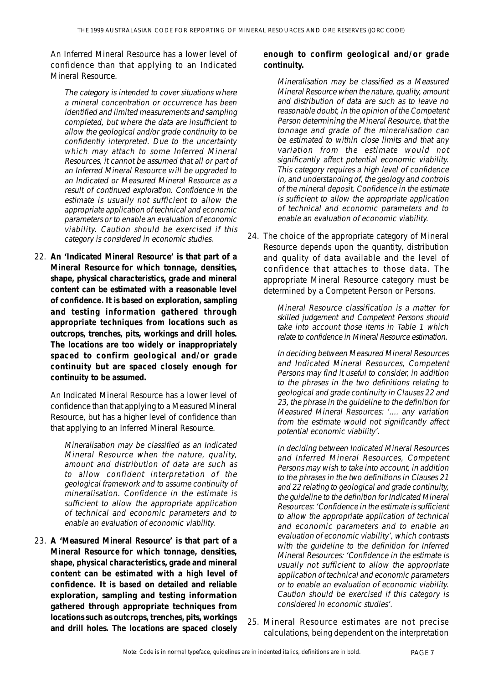An Inferred Mineral Resource has a lower level of confidence than that applying to an Indicated Mineral Resource.

The category is intended to cover situations where a mineral concentration or occurrence has been identified and limited measurements and sampling completed, but where the data are insufficient to allow the geological and/or grade continuity to be confidently interpreted. Due to the uncertainty which may attach to some Inferred Mineral Resources, it cannot be assumed that all or part of an Inferred Mineral Resource will be upgraded to an Indicated or Measured Mineral Resource as a result of continued exploration. Confidence in the estimate is usually not sufficient to allow the appropriate application of technical and economic parameters or to enable an evaluation of economic viability. Caution should be exercised if this category is considered in economic studies.

22. **An 'Indicated Mineral Resource' is that part of a Mineral Resource for which tonnage, densities, shape, physical characteristics, grade and mineral content can be estimated with a reasonable level of confidence. It is based on exploration, sampling and testing information gathered through appropriate techniques from locations such as outcrops, trenches, pits, workings and drill holes. The locations are too widely or inappropriately spaced to confirm geological and/or grade continuity but are spaced closely enough for continuity to be assumed.**

An Indicated Mineral Resource has a lower level of confidence than that applying to a Measured Mineral Resource, but has a higher level of confidence than that applying to an Inferred Mineral Resource.

Mineralisation may be classified as an Indicated Mineral Resource when the nature, quality, amount and distribution of data are such as to allow confident interpretation of the geological framework and to assume continuity of mineralisation. Confidence in the estimate is sufficient to allow the appropriate application of technical and economic parameters and to enable an evaluation of economic viability.

23. **A 'Measured Mineral Resource' is that part of a Mineral Resource for which tonnage, densities, shape, physical characteristics, grade and mineral content can be estimated with a high level of confidence. It is based on detailed and reliable exploration, sampling and testing information gathered through appropriate techniques from locations such as outcrops, trenches, pits, workings and drill holes. The locations are spaced closely**

#### **enough to confirm geological and/or grade continuity.**

Mineralisation may be classified as a Measured Mineral Resource when the nature, quality, amount and distribution of data are such as to leave no reasonable doubt, in the opinion of the Competent Person determining the Mineral Resource, that the tonnage and grade of the mineralisation can be estimated to within close limits and that any variation from the estimate would not significantly affect potential economic viability. This category requires a high level of confidence in, and understanding of, the geology and controls of the mineral deposit. Confidence in the estimate is sufficient to allow the appropriate application of technical and economic parameters and to enable an evaluation of economic viability.

24. The choice of the appropriate category of Mineral Resource depends upon the quantity, distribution and quality of data available and the level of confidence that attaches to those data. The appropriate Mineral Resource category must be determined by a Competent Person or Persons.

> Mineral Resource classification is a matter for skilled judgement and Competent Persons should take into account those items in Table 1 which relate to confidence in Mineral Resource estimation.

> In deciding between Measured Mineral Resources and Indicated Mineral Resources, Competent Persons may find it useful to consider, in addition to the phrases in the two definitions relating to geological and grade continuity in Clauses 22 and 23, the phrase in the guideline to the definition for Measured Mineral Resources: '.... any variation from the estimate would not significantly affect potential economic viability'.

> In deciding between Indicated Mineral Resources and Inferred Mineral Resources, Competent Persons may wish to take into account, in addition to the phrases in the two definitions in Clauses 21 and 22 relating to geological and grade continuity, the guideline to the definition for Indicated Mineral Resources: 'Confidence in the estimate is sufficient to allow the appropriate application of technical and economic parameters and to enable an evaluation of economic viability', which contrasts with the guideline to the definition for Inferred Mineral Resources: 'Confidence in the estimate is usually not sufficient to allow the appropriate application of technical and economic parameters or to enable an evaluation of economic viability. Caution should be exercised if this category is considered in economic studies'.

25. Mineral Resource estimates are not precise calculations, being dependent on the interpretation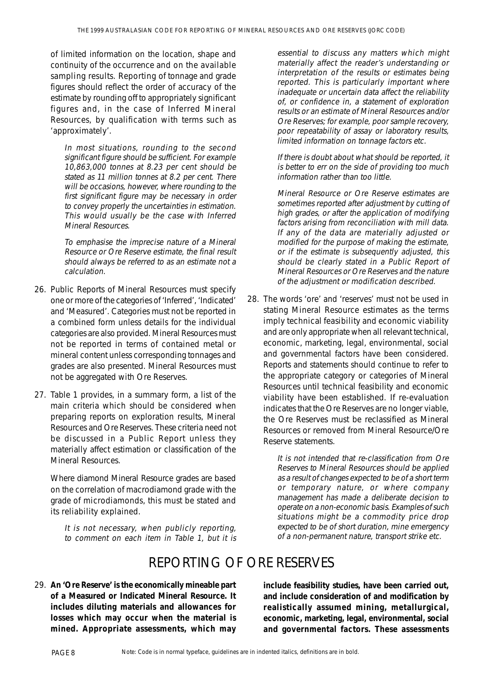of limited information on the location, shape and continuity of the occurrence and on the available sampling results. Reporting of tonnage and grade figures should reflect the order of accuracy of the estimate by rounding off to appropriately significant figures and, in the case of Inferred Mineral Resources, by qualification with terms such as 'approximately'.

In most situations, rounding to the second significant figure should be sufficient. For example 10,863,000 tonnes at 8.23 per cent should be stated as 11 million tonnes at 8.2 per cent. There will be occasions, however, where rounding to the first significant figure may be necessary in order to convey properly the uncertainties in estimation. This would usually be the case with Inferred Mineral Resources.

To emphasise the imprecise nature of a Mineral Resource or Ore Reserve estimate, the final result should always be referred to as an estimate not a calculation.

- 26. Public Reports of Mineral Resources must specify one or more of the categories of 'Inferred', 'Indicated' and 'Measured'. Categories must not be reported in a combined form unless details for the individual categories are also provided. Mineral Resources must not be reported in terms of contained metal or mineral content unless corresponding tonnages and grades are also presented. Mineral Resources must not be aggregated with Ore Reserves.
- 27. Table 1 provides, in a summary form, a list of the main criteria which should be considered when preparing reports on exploration results, Mineral Resources and Ore Reserves. These criteria need not be discussed in a Public Report unless they materially affect estimation or classification of the Mineral Resources.

Where diamond Mineral Resource grades are based on the correlation of macrodiamond grade with the grade of microdiamonds, this must be stated and its reliability explained.

It is not necessary, when publicly reporting, to comment on each item in Table 1, but it is essential to discuss any matters which might materially affect the reader's understanding or interpretation of the results or estimates being reported. This is particularly important where inadequate or uncertain data affect the reliability of, or confidence in, a statement of exploration results or an estimate of Mineral Resources and/or Ore Reserves; for example, poor sample recovery, poor repeatability of assay or laboratory results, limited information on tonnage factors etc.

If there is doubt about what should be reported, it is better to err on the side of providing too much information rather than too little.

Mineral Resource or Ore Reserve estimates are sometimes reported after adjustment by cutting of high grades, or after the application of modifying factors arising from reconciliation with mill data. If any of the data are materially adjusted or modified for the purpose of making the estimate, or if the estimate is subsequently adjusted, this should be clearly stated in a Public Report of Mineral Resources or Ore Reserves and the nature of the adjustment or modification described.

28. The words 'ore' and 'reserves' must not be used in stating Mineral Resource estimates as the terms imply technical feasibility and economic viability and are only appropriate when all relevant technical, economic, marketing, legal, environmental, social and governmental factors have been considered. Reports and statements should continue to refer to the appropriate category or categories of Mineral Resources until technical feasibility and economic viability have been established. If re-evaluation indicates that the Ore Reserves are no longer viable, the Ore Reserves must be reclassified as Mineral Resources or removed from Mineral Resource/Ore Reserve statements.

> It is not intended that re-classification from Ore Reserves to Mineral Resources should be applied as a result of changes expected to be of a short term or temporary nature, or where company management has made a deliberate decision to operate on a non-economic basis. Examples of such situations might be a commodity price drop expected to be of short duration, mine emergency of a non-permanent nature, transport strike etc.

# REPORTING OF ORE RESERVES

29. **An 'Ore Reserve' is the economically mineable part of a Measured or Indicated Mineral Resource. It includes diluting materials and allowances for losses which may occur when the material is mined. Appropriate assessments, which may** **include feasibility studies, have been carried out, and include consideration of and modification by realistically assumed mining, metallurgical, economic, marketing, legal, environmental, social and governmental factors. These assessments**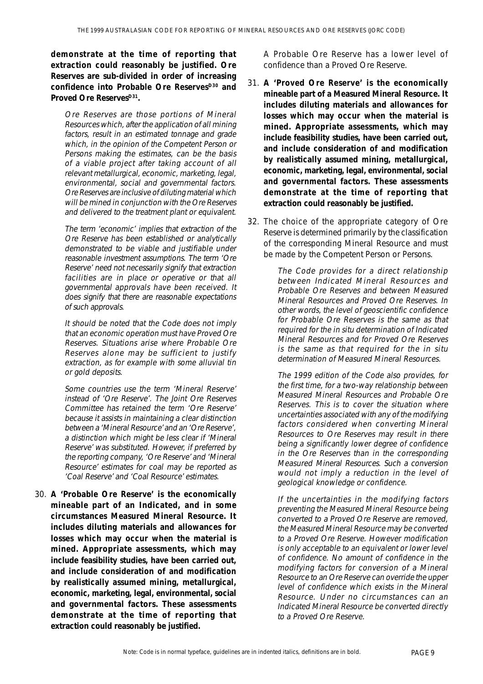**demonstrate at the time of reporting that extraction could reasonably be justified. Ore Reserves are sub-divided in order of increasing** confidence into Probable Ore Reserves<sup>D30</sup> and Proved Ore Reserves<sup>D31</sup>.

Ore Reserves are those portions of Mineral Resources which, after the application of all mining factors, result in an estimated tonnage and grade which, in the opinion of the Competent Person or Persons making the estimates, can be the basis of a viable project after taking account of all relevant metallurgical, economic, marketing, legal, environmental, social and governmental factors. Ore Reserves are inclusive of diluting material which will be mined in conjunction with the Ore Reserves and delivered to the treatment plant or equivalent.

The term 'economic' implies that extraction of the Ore Reserve has been established or analytically demonstrated to be viable and justifiable under reasonable investment assumptions. The term 'Ore Reserve' need not necessarily signify that extraction facilities are in place or operative or that all governmental approvals have been received. It does signify that there are reasonable expectations of such approvals.

It should be noted that the Code does not imply that an economic operation must have Proved Ore Reserves. Situations arise where Probable Ore Reserves alone may be sufficient to justify extraction, as for example with some alluvial tin or gold deposits.

Some countries use the term 'Mineral Reserve' instead of 'Ore Reserve'. The Joint Ore Reserves Committee has retained the term 'Ore Reserve' because it assists in maintaining a clear distinction between a 'Mineral Resource' and an 'Ore Reserve', a distinction which might be less clear if 'Mineral Reserve' was substituted. However, if preferred by the reporting company, 'Ore Reserve' and 'Mineral Resource' estimates for coal may be reported as 'Coal Reserve' and 'Coal Resource' estimates.

30. **A 'Probable Ore Reserve' is the economically mineable part of an Indicated, and in some circumstances Measured Mineral Resource. It includes diluting materials and allowances for losses which may occur when the material is mined. Appropriate assessments, which may include feasibility studies, have been carried out, and include consideration of and modification by realistically assumed mining, metallurgical, economic, marketing, legal, environmental, social and governmental factors. These assessments demonstrate at the time of reporting that extraction could reasonably be justified.**

A Probable Ore Reserve has a lower level of confidence than a Proved Ore Reserve.

- 31. **A 'Proved Ore Reserve' is the economically mineable part of a Measured Mineral Resource. It includes diluting materials and allowances for losses which may occur when the material is mined. Appropriate assessments, which may include feasibility studies, have been carried out, and include consideration of and modification by realistically assumed mining, metallurgical, economic, marketing, legal, environmental, social and governmental factors. These assessments demonstrate at the time of reporting that extraction could reasonably be justified.**
- 32. The choice of the appropriate category of Ore Reserve is determined primarily by the classification of the corresponding Mineral Resource and must be made by the Competent Person or Persons.

The Code provides for a direct relationship between Indicated Mineral Resources and Probable Ore Reserves and between Measured Mineral Resources and Proved Ore Reserves. In other words, the level of geoscientific confidence for Probable Ore Reserves is the same as that required for the in situ determination of Indicated Mineral Resources and for Proved Ore Reserves is the same as that required for the in situ determination of Measured Mineral Resources.

The 1999 edition of the Code also provides, for the first time, for a two-way relationship between Measured Mineral Resources and Probable Ore Reserves. This is to cover the situation where uncertainties associated with any of the modifying factors considered when converting Mineral Resources to Ore Reserves may result in there being a significantly lower degree of confidence in the Ore Reserves than in the corresponding Measured Mineral Resources. Such a conversion would not imply a reduction in the level of geological knowledge or confidence.

If the uncertainties in the modifying factors preventing the Measured Mineral Resource being converted to a Proved Ore Reserve are removed, the Measured Mineral Resource may be converted to a Proved Ore Reserve. However modification is only acceptable to an equivalent or lower level of confidence. No amount of confidence in the modifying factors for conversion of a Mineral Resource to an Ore Reserve can override the upper level of confidence which exists in the Mineral Resource. Under no circumstances can an Indicated Mineral Resource be converted directly to a Proved Ore Reserve.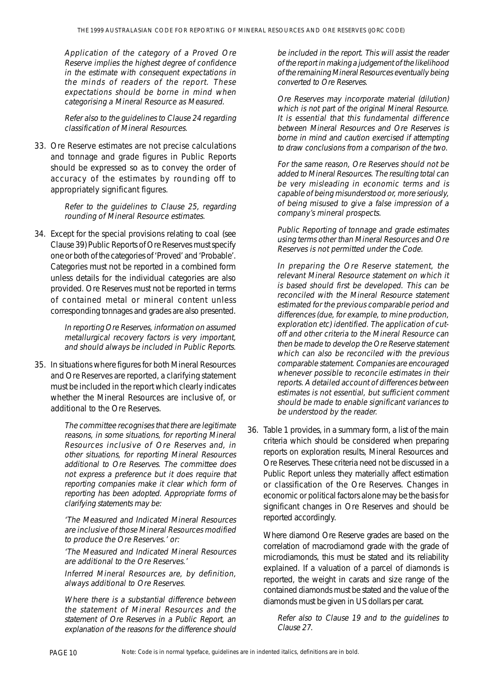Application of the category of a Proved Ore Reserve implies the highest degree of confidence in the estimate with consequent expectations in the minds of readers of the report. These expectations should be borne in mind when categorising a Mineral Resource as Measured.

Refer also to the guidelines to Clause 24 regarding classification of Mineral Resources.

33. Ore Reserve estimates are not precise calculations and tonnage and grade figures in Public Reports should be expressed so as to convey the order of accuracy of the estimates by rounding off to appropriately significant figures.

> Refer to the guidelines to Clause 25, regarding rounding of Mineral Resource estimates.

34. Except for the special provisions relating to coal (see Clause 39) Public Reports of Ore Reserves must specify one or both of the categories of 'Proved' and 'Probable'. Categories must not be reported in a combined form unless details for the individual categories are also provided. Ore Reserves must not be reported in terms of contained metal or mineral content unless corresponding tonnages and grades are also presented.

> In reporting Ore Reserves, information on assumed metallurgical recovery factors is very important, and should always be included in Public Reports.

35. In situations where figures for both Mineral Resources and Ore Reserves are reported, a clarifying statement must be included in the report which clearly indicates whether the Mineral Resources are inclusive of, or additional to the Ore Reserves.

> The committee recognises that there are legitimate reasons, in some situations, for reporting Mineral Resources inclusive of Ore Reserves and, in other situations, for reporting Mineral Resources additional to Ore Reserves. The committee does not express a preference but it does require that reporting companies make it clear which form of reporting has been adopted. Appropriate forms of clarifying statements may be:

> 'The Measured and Indicated Mineral Resources are inclusive of those Mineral Resources modified to produce the Ore Reserves.' or:

> 'The Measured and Indicated Mineral Resources are additional to the Ore Reserves.'

> Inferred Mineral Resources are, by definition, always additional to Ore Reserves.

> Where there is a substantial difference between the statement of Mineral Resources and the statement of Ore Reserves in a Public Report, an explanation of the reasons for the difference should

be included in the report. This will assist the reader of the report in making a judgement of the likelihood of the remaining Mineral Resources eventually being converted to Ore Reserves.

Ore Reserves may incorporate material (dilution) which is not part of the original Mineral Resource. It is essential that this fundamental difference between Mineral Resources and Ore Reserves is borne in mind and caution exercised if attempting to draw conclusions from a comparison of the two.

For the same reason, Ore Reserves should not be added to Mineral Resources. The resulting total can be very misleading in economic terms and is capable of being misunderstood or, more seriously, of being misused to give a false impression of a company's mineral prospects.

Public Reporting of tonnage and grade estimates using terms other than Mineral Resources and Ore Reserves is not permitted under the Code.

In preparing the Ore Reserve statement, the relevant Mineral Resource statement on which it is based should first be developed. This can be reconciled with the Mineral Resource statement estimated for the previous comparable period and differences (due, for example, to mine production, exploration etc) identified. The application of cutoff and other criteria to the Mineral Resource can then be made to develop the Ore Reserve statement which can also be reconciled with the previous comparable statement. Companies are encouraged whenever possible to reconcile estimates in their reports. A detailed account of differences between estimates is not essential, but sufficient comment should be made to enable significant variances to be understood by the reader.

36. Table 1 provides, in a summary form, a list of the main criteria which should be considered when preparing reports on exploration results, Mineral Resources and Ore Reserves. These criteria need not be discussed in a Public Report unless they materially affect estimation or classification of the Ore Reserves. Changes in economic or political factors alone may be the basis for significant changes in Ore Reserves and should be reported accordingly.

Where diamond Ore Reserve grades are based on the correlation of macrodiamond grade with the grade of microdiamonds, this must be stated and its reliability explained. If a valuation of a parcel of diamonds is reported, the weight in carats and size range of the contained diamonds must be stated and the value of the diamonds must be given in US dollars per carat.

Refer also to Clause 19 and to the guidelines to Clause 27.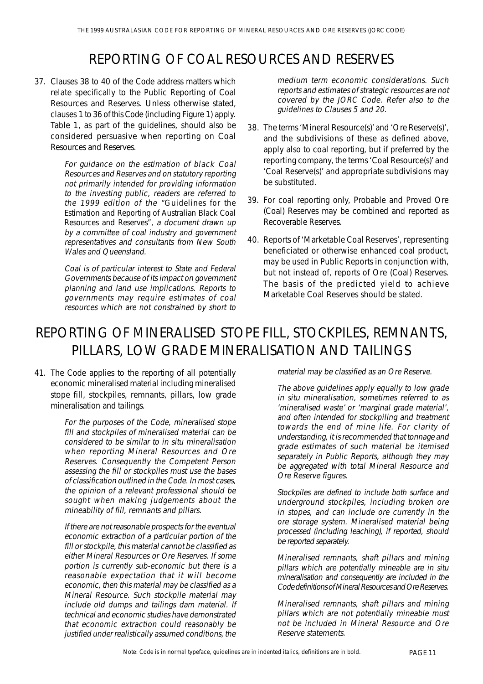# REPORTING OF COAL RESOURCES AND RESERVES

37. Clauses 38 to 40 of the Code address matters which relate specifically to the Public Reporting of Coal Resources and Reserves. Unless otherwise stated, clauses 1 to 36 of this Code (including Figure 1) apply. Table 1, as part of the guidelines, should also be considered persuasive when reporting on Coal Resources and Reserves.

> For guidance on the estimation of black Coal Resources and Reserves and on statutory reporting not primarily intended for providing information to the investing public, readers are referred to the 1999 edition of the "Guidelines for the Estimation and Reporting of Australian Black Coal Resources and Reserves", a document drawn up by a committee of coal industry and government representatives and consultants from New South Wales and Queensland.

> Coal is of particular interest to State and Federal Governments because of its impact on government planning and land use implications. Reports to governments may require estimates of coal resources which are not constrained by short to

medium term economic considerations. Such reports and estimates of strategic resources are not covered by the JORC Code. Refer also to the guidelines to Clauses 5 and 20.

- 38. The terms 'Mineral Resource(s)' and 'Ore Reserve(s)', and the subdivisions of these as defined above, apply also to coal reporting, but if preferred by the reporting company, the terms 'Coal Resource(s)' and 'Coal Reserve(s)' and appropriate subdivisions may be substituted.
- 39. For coal reporting only, Probable and Proved Ore (Coal) Reserves may be combined and reported as Recoverable Reserves.
- 40. Reports of 'Marketable Coal Reserves', representing beneficiated or otherwise enhanced coal product, may be used in Public Reports in conjunction with, but not instead of, reports of Ore (Coal) Reserves. The basis of the predicted yield to achieve Marketable Coal Reserves should be stated.

### REPORTING OF MINERALISED STOPE FILL, STOCKPILES, REMNANTS, PILLARS, LOW GRADE MINERALISATION AND TAILINGS

41. The Code applies to the reporting of all potentially economic mineralised material including mineralised stope fill, stockpiles, remnants, pillars, low grade mineralisation and tailings.

> For the purposes of the Code, mineralised stope fill and stockpiles of mineralised material can be considered to be similar to in situ mineralisation when reporting Mineral Resources and Ore Reserves. Consequently the Competent Person assessing the fill or stockpiles must use the bases of classification outlined in the Code. In most cases, the opinion of a relevant professional should be sought when making judgements about the mineability of fill, remnants and pillars.

> If there are not reasonable prospects for the eventual economic extraction of a particular portion of the fill or stockpile, this material cannot be classified as either Mineral Resources or Ore Reserves. If some portion is currently sub-economic but there is a reasonable expectation that it will become economic, then this material may be classified as a Mineral Resource. Such stockpile material may include old dumps and tailings dam material. If technical and economic studies have demonstrated that economic extraction could reasonably be justified under realistically assumed conditions, the

material may be classified as an Ore Reserve.

The above guidelines apply equally to low grade in situ mineralisation, sometimes referred to as 'mineralised waste' or 'marginal grade material', and often intended for stockpiling and treatment towards the end of mine life. For clarity of understanding, it is recommended that tonnage and grade estimates of such material be itemised separately in Public Reports, although they may be aggregated with total Mineral Resource and Ore Reserve figures.

Stockpiles are defined to include both surface and underground stockpiles, including broken ore in stopes, and can include ore currently in the ore storage system. Mineralised material being processed (including leaching), if reported, should be reported separately.

Mineralised remnants, shaft pillars and mining pillars which are potentially mineable are in situ mineralisation and consequently are included in the Code definitions of Mineral Resources and Ore Reserves.

Mineralised remnants, shaft pillars and mining pillars which are not potentially mineable must not be included in Mineral Resource and Ore Reserve statements.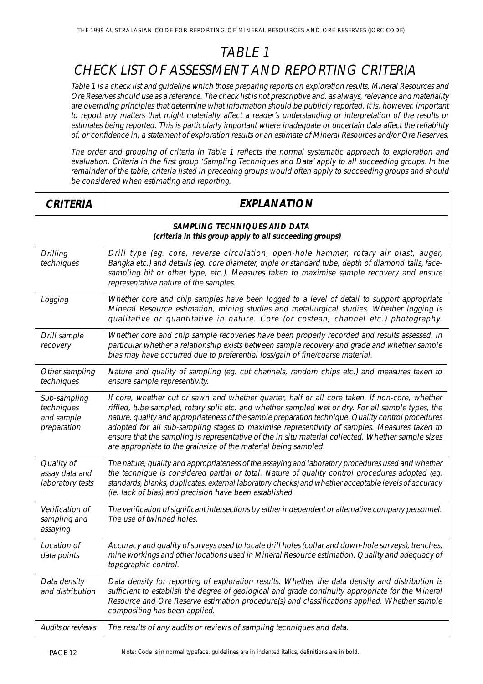# TABIF<sub>1</sub> CHECK LIST OF ASSESSMENT AND REPORTING CRITERIA

Table 1 is a check list and guideline which those preparing reports on exploration results, Mineral Resources and Ore Reserves should use as a reference. The check list is not prescriptive and, as always, relevance and materiality are overriding principles that determine what information should be publicly reported. It is, however, important to report any matters that might materially affect a reader's understanding or interpretation of the results or estimates being reported. This is particularly important where inadequate or uncertain data affect the reliability of, or confidence in, a statement of exploration results or an estimate of Mineral Resources and/or Ore Reserves.

The order and grouping of criteria in Table 1 reflects the normal systematic approach to exploration and evaluation. Criteria in the first group 'Sampling Techniques and Data' apply to all succeeding groups. In the remainder of the table, criteria listed in preceding groups would often apply to succeeding groups and should be considered when estimating and reporting.

| <b>CRITERIA</b>                                                                                | <b>EXPLANATION</b>                                                                                                                                                                                                                                                                                                                                                                                                                                                                                                                                                                   |  |
|------------------------------------------------------------------------------------------------|--------------------------------------------------------------------------------------------------------------------------------------------------------------------------------------------------------------------------------------------------------------------------------------------------------------------------------------------------------------------------------------------------------------------------------------------------------------------------------------------------------------------------------------------------------------------------------------|--|
| <b>SAMPLING TECHNIQUES AND DATA</b><br>(criteria in this group apply to all succeeding groups) |                                                                                                                                                                                                                                                                                                                                                                                                                                                                                                                                                                                      |  |
| Drilling<br>techniques                                                                         | Drill type (eg. core, reverse circulation, open-hole hammer, rotary air blast, auger,<br>Bangka etc.) and details (eg. core diameter, triple or standard tube, depth of diamond tails, face-<br>sampling bit or other type, etc.). Measures taken to maximise sample recovery and ensure<br>representative nature of the samples.                                                                                                                                                                                                                                                    |  |
| Logging                                                                                        | Whether core and chip samples have been logged to a level of detail to support appropriate<br>Mineral Resource estimation, mining studies and metallurgical studies. Whether logging is<br>qualitative or quantitative in nature. Core (or costean, channel etc.) photography.                                                                                                                                                                                                                                                                                                       |  |
| Drill sample<br>recovery                                                                       | Whether core and chip sample recoveries have been properly recorded and results assessed. In<br>particular whether a relationship exists between sample recovery and grade and whether sample<br>bias may have occurred due to preferential loss/gain of fine/coarse material.                                                                                                                                                                                                                                                                                                       |  |
| Other sampling<br>techniques                                                                   | Nature and quality of sampling (eg. cut channels, random chips etc.) and measures taken to<br>ensure sample representivity.                                                                                                                                                                                                                                                                                                                                                                                                                                                          |  |
| Sub-sampling<br>techniques<br>and sample<br>preparation                                        | If core, whether cut or sawn and whether quarter, half or all core taken. If non-core, whether<br>riffled, tube sampled, rotary split etc. and whether sampled wet or dry. For all sample types, the<br>nature, quality and appropriateness of the sample preparation technique. Quality control procedures<br>adopted for all sub-sampling stages to maximise representivity of samples. Measures taken to<br>ensure that the sampling is representative of the in situ material collected. Whether sample sizes<br>are appropriate to the grainsize of the material being sampled. |  |
| Quality of<br>assay data and<br>laboratory tests                                               | The nature, quality and appropriateness of the assaying and laboratory procedures used and whether<br>the technique is considered partial or total. Nature of quality control procedures adopted (eg.<br>standards, blanks, duplicates, external laboratory checks) and whether acceptable levels of accuracy<br>(ie. lack of bias) and precision have been established.                                                                                                                                                                                                             |  |
| Verification of<br>sampling and<br>assaying                                                    | The verification of significant intersections by either independent or alternative company personnel.<br>The use of twinned holes.                                                                                                                                                                                                                                                                                                                                                                                                                                                   |  |
| Location of<br>data points                                                                     | Accuracy and quality of surveys used to locate drill holes (collar and down-hole surveys), trenches,<br>mine workings and other locations used in Mineral Resource estimation. Quality and adequacy of<br>topographic control.                                                                                                                                                                                                                                                                                                                                                       |  |
| Data density<br>and distribution                                                               | Data density for reporting of exploration results. Whether the data density and distribution is<br>sufficient to establish the degree of geological and grade continuity appropriate for the Mineral<br>Resource and Ore Reserve estimation procedure(s) and classifications applied. Whether sample<br>compositing has been applied.                                                                                                                                                                                                                                                |  |
| Audits or reviews                                                                              | The results of any audits or reviews of sampling techniques and data.                                                                                                                                                                                                                                                                                                                                                                                                                                                                                                                |  |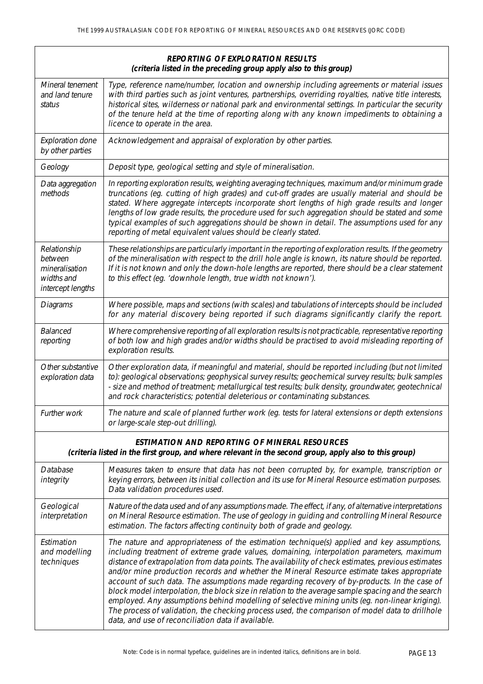| <b>REPORTING OF EXPLORATION RESULTS</b><br>(criteria listed in the preceding group apply also to this group)                                                   |                                                                                                                                                                                                                                                                                                                                                                                                                                                                                                                                                                                                                                                                                                                                                                                                                                                               |  |
|----------------------------------------------------------------------------------------------------------------------------------------------------------------|---------------------------------------------------------------------------------------------------------------------------------------------------------------------------------------------------------------------------------------------------------------------------------------------------------------------------------------------------------------------------------------------------------------------------------------------------------------------------------------------------------------------------------------------------------------------------------------------------------------------------------------------------------------------------------------------------------------------------------------------------------------------------------------------------------------------------------------------------------------|--|
| Mineral tenement<br>and land tenure<br>status                                                                                                                  | Type, reference name/number, location and ownership including agreements or material issues<br>with third parties such as joint ventures, partnerships, overriding royalties, native title interests,<br>historical sites, wilderness or national park and environmental settings. In particular the security<br>of the tenure held at the time of reporting along with any known impediments to obtaining a<br>licence to operate in the area.                                                                                                                                                                                                                                                                                                                                                                                                               |  |
| <b>Exploration done</b><br>by other parties                                                                                                                    | Acknowledgement and appraisal of exploration by other parties.                                                                                                                                                                                                                                                                                                                                                                                                                                                                                                                                                                                                                                                                                                                                                                                                |  |
| Geology                                                                                                                                                        | Deposit type, geological setting and style of mineralisation.                                                                                                                                                                                                                                                                                                                                                                                                                                                                                                                                                                                                                                                                                                                                                                                                 |  |
| Data aggregation<br>methods                                                                                                                                    | In reporting exploration results, weighting averaging techniques, maximum and/or minimum grade<br>truncations (eg. cutting of high grades) and cut-off grades are usually material and should be<br>stated. Where aggregate intercepts incorporate short lengths of high grade results and longer<br>lengths of low grade results, the procedure used for such aggregation should be stated and some<br>typical examples of such aggregations should be shown in detail. The assumptions used for any<br>reporting of metal equivalent values should be clearly stated.                                                                                                                                                                                                                                                                                       |  |
| Relationship<br>between<br>mineralisation<br>widths and<br>intercept lengths                                                                                   | These relationships are particularly important in the reporting of exploration results. If the geometry<br>of the mineralisation with respect to the drill hole angle is known, its nature should be reported.<br>If it is not known and only the down-hole lengths are reported, there should be a clear statement<br>to this effect (eg. 'downhole length, true width not known').                                                                                                                                                                                                                                                                                                                                                                                                                                                                          |  |
| Diagrams                                                                                                                                                       | Where possible, maps and sections (with scales) and tabulations of intercepts should be included<br>for any material discovery being reported if such diagrams significantly clarify the report.                                                                                                                                                                                                                                                                                                                                                                                                                                                                                                                                                                                                                                                              |  |
| Balanced<br>reporting                                                                                                                                          | Where comprehensive reporting of all exploration results is not practicable, representative reporting<br>of both low and high grades and/or widths should be practised to avoid misleading reporting of<br>exploration results.                                                                                                                                                                                                                                                                                                                                                                                                                                                                                                                                                                                                                               |  |
| Other substantive<br>exploration data                                                                                                                          | Other exploration data, if meaningful and material, should be reported including (but not limited<br>to): geological observations; geophysical survey results; geochemical survey results; bulk samples<br>- size and method of treatment; metallurgical test results; bulk density, groundwater, geotechnical<br>and rock characteristics; potential deleterious or contaminating substances.                                                                                                                                                                                                                                                                                                                                                                                                                                                                |  |
| Further work                                                                                                                                                   | The nature and scale of planned further work (eg. tests for lateral extensions or depth extensions<br>or large-scale step-out drilling).                                                                                                                                                                                                                                                                                                                                                                                                                                                                                                                                                                                                                                                                                                                      |  |
| <b>ESTIMATION AND REPORTING OF MINERAL RESOURCES</b><br>(criteria listed in the first group, and where relevant in the second group, apply also to this group) |                                                                                                                                                                                                                                                                                                                                                                                                                                                                                                                                                                                                                                                                                                                                                                                                                                                               |  |
| Database<br>integrity                                                                                                                                          | Measures taken to ensure that data has not been corrupted by, for example, transcription or<br>keying errors, between its initial collection and its use for Mineral Resource estimation purposes.<br>Data validation procedures used.                                                                                                                                                                                                                                                                                                                                                                                                                                                                                                                                                                                                                        |  |
| Geological<br>interpretation                                                                                                                                   | Nature of the data used and of any assumptions made. The effect, if any, of alternative interpretations<br>on Mineral Resource estimation. The use of geology in guiding and controlling Mineral Resource<br>estimation. The factors affecting continuity both of grade and geology.                                                                                                                                                                                                                                                                                                                                                                                                                                                                                                                                                                          |  |
| Estimation<br>and modelling<br>techniques                                                                                                                      | The nature and appropriateness of the estimation technique(s) applied and key assumptions,<br>including treatment of extreme grade values, domaining, interpolation parameters, maximum<br>distance of extrapolation from data points. The availability of check estimates, previous estimates<br>and/or mine production records and whether the Mineral Resource estimate takes appropriate<br>account of such data. The assumptions made regarding recovery of by-products. In the case of<br>block model interpolation, the block size in relation to the average sample spacing and the search<br>employed. Any assumptions behind modelling of selective mining units (eg. non-linear kriging).<br>The process of validation, the checking process used, the comparison of model data to drillhole<br>data, and use of reconciliation data if available. |  |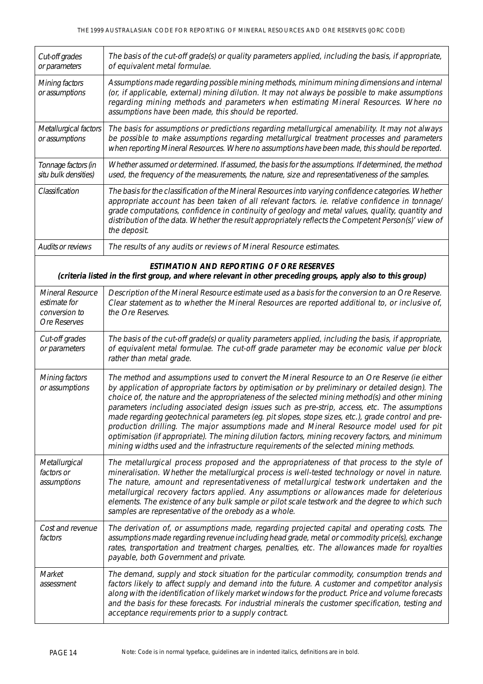| Cut-off grades<br>or parameters                                                                                                                                 | The basis of the cut-off grade(s) or quality parameters applied, including the basis, if appropriate,<br>of equivalent metal formulae.                                                                                                                                                                                                                                                                                                                                                                                                                                                                                                                                                                                                                                                              |  |
|-----------------------------------------------------------------------------------------------------------------------------------------------------------------|-----------------------------------------------------------------------------------------------------------------------------------------------------------------------------------------------------------------------------------------------------------------------------------------------------------------------------------------------------------------------------------------------------------------------------------------------------------------------------------------------------------------------------------------------------------------------------------------------------------------------------------------------------------------------------------------------------------------------------------------------------------------------------------------------------|--|
| Mining factors<br>or assumptions                                                                                                                                | Assumptions made regarding possible mining methods, minimum mining dimensions and internal<br>(or, if applicable, external) mining dilution. It may not always be possible to make assumptions<br>regarding mining methods and parameters when estimating Mineral Resources. Where no<br>assumptions have been made, this should be reported.                                                                                                                                                                                                                                                                                                                                                                                                                                                       |  |
| Metallurgical factors<br>or assumptions                                                                                                                         | The basis for assumptions or predictions regarding metallurgical amenability. It may not always<br>be possible to make assumptions regarding metallurgical treatment processes and parameters<br>when reporting Mineral Resources. Where no assumptions have been made, this should be reported.                                                                                                                                                                                                                                                                                                                                                                                                                                                                                                    |  |
| Tonnage factors (in<br>situ bulk densities)                                                                                                                     | Whether assumed or determined. If assumed, the basis for the assumptions. If determined, the method<br>used, the frequency of the measurements, the nature, size and representativeness of the samples.                                                                                                                                                                                                                                                                                                                                                                                                                                                                                                                                                                                             |  |
| Classification                                                                                                                                                  | The basis for the classification of the Mineral Resources into varying confidence categories. Whether<br>appropriate account has been taken of all relevant factors. ie. relative confidence in tonnage/<br>grade computations, confidence in continuity of geology and metal values, quality, quantity and<br>distribution of the data. Whether the result appropriately reflects the Competent Person(s)' view of<br>the deposit.                                                                                                                                                                                                                                                                                                                                                                 |  |
| Audits or reviews                                                                                                                                               | The results of any audits or reviews of Mineral Resource estimates.                                                                                                                                                                                                                                                                                                                                                                                                                                                                                                                                                                                                                                                                                                                                 |  |
| <b>ESTIMATION AND REPORTING OF ORE RESERVES</b><br>(criteria listed in the first group, and where relevant in other preceding groups, apply also to this group) |                                                                                                                                                                                                                                                                                                                                                                                                                                                                                                                                                                                                                                                                                                                                                                                                     |  |
| Mineral Resource<br>estimate for<br>conversion to<br>Ore Reserves                                                                                               | Description of the Mineral Resource estimate used as a basis for the conversion to an Ore Reserve.<br>Clear statement as to whether the Mineral Resources are reported additional to, or inclusive of,<br>the Ore Reserves.                                                                                                                                                                                                                                                                                                                                                                                                                                                                                                                                                                         |  |
| Cut-off grades<br>or parameters                                                                                                                                 | The basis of the cut-off grade(s) or quality parameters applied, including the basis, if appropriate,<br>of equivalent metal formulae. The cut-off grade parameter may be economic value per block<br>rather than metal grade.                                                                                                                                                                                                                                                                                                                                                                                                                                                                                                                                                                      |  |
| Mining factors<br>or assumptions                                                                                                                                | The method and assumptions used to convert the Mineral Resource to an Ore Reserve (ie either<br>by application of appropriate factors by optimisation or by preliminary or detailed design). The<br>choice of, the nature and the appropriateness of the selected mining method(s) and other mining<br>parameters including associated design issues such as pre-strip, access, etc. The assumptions<br>made regarding geotechnical parameters (eg. pit slopes, stope sizes, etc.), grade control and pre-<br>production drilling. The major assumptions made and Mineral Resource model used for pit<br>optimisation (if appropriate). The mining dilution factors, mining recovery factors, and minimum<br>mining widths used and the infrastructure requirements of the selected mining methods. |  |
| Metallurgical<br>factors or<br>assumptions                                                                                                                      | The metallurgical process proposed and the appropriateness of that process to the style of<br>mineralisation. Whether the metallurgical process is well-tested technology or novel in nature.<br>The nature, amount and representativeness of metallurgical testwork undertaken and the<br>metallurgical recovery factors applied. Any assumptions or allowances made for deleterious<br>elements. The existence of any bulk sample or pilot scale testwork and the degree to which such<br>samples are representative of the orebody as a whole.                                                                                                                                                                                                                                                   |  |
| Cost and revenue<br>factors                                                                                                                                     | The derivation of, or assumptions made, regarding projected capital and operating costs. The<br>assumptions made regarding revenue including head grade, metal or commodity price(s), exchange<br>rates, transportation and treatment charges, penalties, etc. The allowances made for royalties<br>payable, both Government and private.                                                                                                                                                                                                                                                                                                                                                                                                                                                           |  |
| Market<br>assessment                                                                                                                                            | The demand, supply and stock situation for the particular commodity, consumption trends and<br>factors likely to affect supply and demand into the future. A customer and competitor analysis<br>along with the identification of likely market windows for the product. Price and volume forecasts<br>and the basis for these forecasts. For industrial minerals the customer specification, testing and<br>acceptance requirements prior to a supply contract.                                                                                                                                                                                                                                                                                                                                    |  |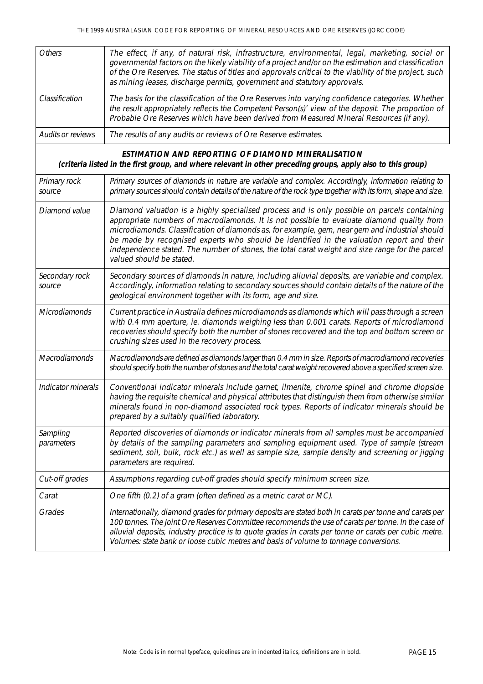| <b>Others</b>                                                                                                                                                             | The effect, if any, of natural risk, infrastructure, environmental, legal, marketing, social or<br>governmental factors on the likely viability of a project and/or on the estimation and classification<br>of the Ore Reserves. The status of titles and approvals critical to the viability of the project, such<br>as mining leases, discharge permits, government and statutory approvals.                                                                                                                         |  |  |
|---------------------------------------------------------------------------------------------------------------------------------------------------------------------------|------------------------------------------------------------------------------------------------------------------------------------------------------------------------------------------------------------------------------------------------------------------------------------------------------------------------------------------------------------------------------------------------------------------------------------------------------------------------------------------------------------------------|--|--|
| Classification                                                                                                                                                            | The basis for the classification of the Ore Reserves into varying confidence categories. Whether<br>the result appropriately reflects the Competent Person(s)' view of the deposit. The proportion of<br>Probable Ore Reserves which have been derived from Measured Mineral Resources (if any).                                                                                                                                                                                                                       |  |  |
| Audits or reviews                                                                                                                                                         | The results of any audits or reviews of Ore Reserve estimates.                                                                                                                                                                                                                                                                                                                                                                                                                                                         |  |  |
| <b>ESTIMATION AND REPORTING OF DIAMOND MINERALISATION</b><br>(criteria listed in the first group, and where relevant in other preceding groups, apply also to this group) |                                                                                                                                                                                                                                                                                                                                                                                                                                                                                                                        |  |  |
| Primary rock<br>source                                                                                                                                                    | Primary sources of diamonds in nature are variable and complex. Accordingly, information relating to<br>primary sources should contain details of the nature of the rock type together with its form, shape and size.                                                                                                                                                                                                                                                                                                  |  |  |
| Diamond value                                                                                                                                                             | Diamond valuation is a highly specialised process and is only possible on parcels containing<br>appropriate numbers of macrodiamonds. It is not possible to evaluate diamond quality from<br>microdiamonds. Classification of diamonds as, for example, gem, near gem and industrial should<br>be made by recognised experts who should be identified in the valuation report and their<br>independence stated. The number of stones, the total carat weight and size range for the parcel<br>valued should be stated. |  |  |
| Secondary rock<br>source                                                                                                                                                  | Secondary sources of diamonds in nature, including alluvial deposits, are variable and complex.<br>Accordingly, information relating to secondary sources should contain details of the nature of the<br>geological environment together with its form, age and size.                                                                                                                                                                                                                                                  |  |  |
| Microdiamonds                                                                                                                                                             | Current practice in Australia defines microdiamonds as diamonds which will pass through a screen<br>with 0.4 mm aperture, ie. diamonds weighing less than 0.001 carats. Reports of microdiamond<br>recoveries should specify both the number of stones recovered and the top and bottom screen or<br>crushing sizes used in the recovery process.                                                                                                                                                                      |  |  |
| <b>Macrodiamonds</b>                                                                                                                                                      | Macrodiamonds are defined as diamonds larger than 0.4 mm in size. Reports of macrodiamond recoveries<br>should specify both the number of stones and the total carat weight recovered above a specified screen size.                                                                                                                                                                                                                                                                                                   |  |  |
| Indicator minerals                                                                                                                                                        | Conventional indicator minerals include garnet, ilmenite, chrome spinel and chrome diopside<br>having the requisite chemical and physical attributes that distinguish them from otherwise similar<br>minerals found in non-diamond associated rock types. Reports of indicator minerals should be<br>prepared by a suitably qualified laboratory.                                                                                                                                                                      |  |  |
| Sampling<br>parameters                                                                                                                                                    | Reported discoveries of diamonds or indicator minerals from all samples must be accompanied<br>by details of the sampling parameters and sampling equipment used. Type of sample (stream<br>sediment, soil, bulk, rock etc.) as well as sample size, sample density and screening or jigging<br>parameters are required.                                                                                                                                                                                               |  |  |
| Cut-off grades                                                                                                                                                            | Assumptions regarding cut-off grades should specify minimum screen size.                                                                                                                                                                                                                                                                                                                                                                                                                                               |  |  |
| Carat                                                                                                                                                                     | One fifth (0.2) of a gram (often defined as a metric carat or MC).                                                                                                                                                                                                                                                                                                                                                                                                                                                     |  |  |
| Grades                                                                                                                                                                    | Internationally, diamond grades for primary deposits are stated both in carats per tonne and carats per<br>100 tonnes. The Joint Ore Reserves Committee recommends the use of carats per tonne. In the case of<br>alluvial deposits, industry practice is to quote grades in carats per tonne or carats per cubic metre.<br>Volumes: state bank or loose cubic metres and basis of volume to tonnage conversions.                                                                                                      |  |  |